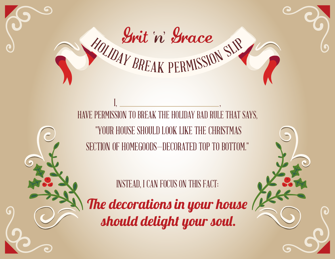

Marit n' Grace

INSTEAD, I CAN FOCUS ON THIS FACT:

The decorations in your house should delight your soul.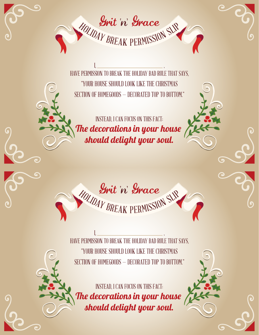

I, , HAVE PERMISSION TO BREAK THE HOLIDAY BAD RULE THAT SAYS, "YOUR HOUSE SHOULD LOOK LIKE THE CHRISTMAS SECTION OF HOMEGOODS — DECORATED TOP TO BOTTOM."

INSTEAD, I CAN FOCUS ON THIS FACT: The decorations in your house should delight your soul.



I, , HAVE PERMISSION TO BREAK THE HOLIDAY BAD RULE THAT SAYS, "YOUR HOUSE SHOULD LOOK LIKE THE CHRISTMAS SECTION OF HOMEGOODS — DECORATED TOP TO BOTTOM."

INSTEAD, I CAN FOCUS ON THIS FACT: The decorations in your house should delight your soul.